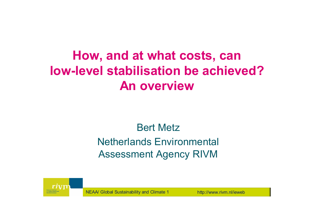## **How, and at what costs, can low-level stabilisation be achieved?An overview**

### Bert Metz

### Netherlands Environmental Assessment Agency RIVM

NEAA/ Global Sustainability and Climate 1 http://www.rivm.nl/ieweb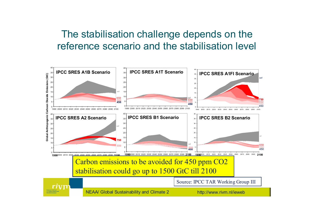### The stabilisation challenge depends on the reference scenario and the stabilisation level

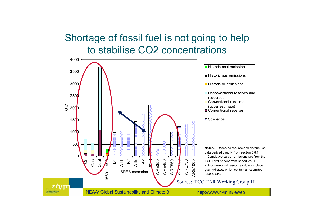### Shortage of fossil fuel is not going to help to stabilise CO2 concentrations

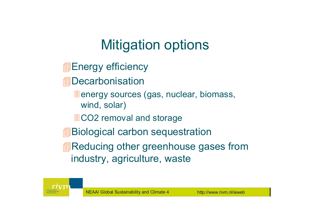# Mitigation options

- **■Energy efficiency**
- **<u></u>**Decarbonisation
	- **E** energy sources (gas, nuclear, biomass, wind, solar)
	- ■CO2 removal and storage
- **<u></u>i**Biological carbon sequestration
- **<u></u> ■Reducing other greenhouse gases from** industry, agriculture, waste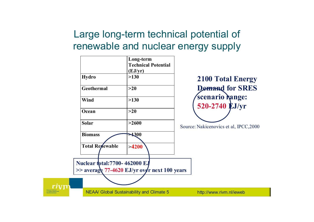### Large long-term technical potential of renewable and nuclear energy supply

| <b>Hydro</b>                                                                        | Long-term<br><b>Technical Potential</b><br>(EJ/yr)<br>>130 | <b>2100 Total Energy</b>               |
|-------------------------------------------------------------------------------------|------------------------------------------------------------|----------------------------------------|
| <b>Geothermal</b>                                                                   | >20                                                        | <b>Demand for SRES</b>                 |
| Wind                                                                                | >130                                                       | scenario Range:                        |
| Ocean                                                                               | $>20$                                                      | 520-2740 EJ/yr                         |
| <b>Solar</b>                                                                        | >2600                                                      | Source: Nakicenovics et al, IPCC, 2000 |
| <b>Biomass</b>                                                                      | $\blacktriangle 300$                                       |                                        |
| <b>Total Revewable</b>                                                              | >4200                                                      |                                        |
| <b>Nuclear total:7700-462000 EJ</b><br>>> average 77-4620 EJ/yr over next 100 years |                                                            |                                        |
|                                                                                     | <b>NEAA/ Global Sustainability and Climate 5</b>           | http://www.rivm.nl/ieweb               |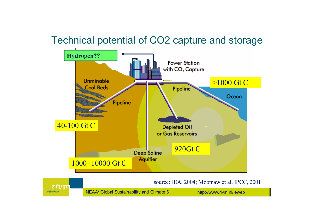### Technical potential of CO2 capture and storage



source: IEA, 2004; Moomaw et al, IPCC, 2001

NEAA/ Global Sustainability and Climate 6 http://www.rivm.nl/ieweb

rivm

National Institute<br>for Public Health and<br>the Environment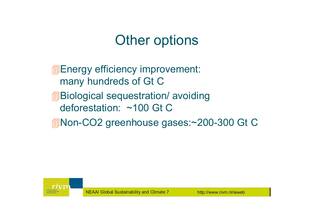## Other options

- **■Energy efficiency improvement:** many hundreds of Gt C
- **<u></u>Biological sequestration/ avoiding** deforestation: ~100 Gt C
- Non-CO2 greenhouse gases:~200-300 Gt C

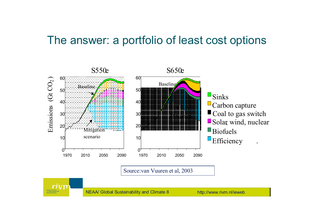### The answer: a portfolio of least cost options



Source:van Vuuren et al, 2003



NEAA/ Global Sustainability and Climate 8 http://www.rivm.nl/ieweb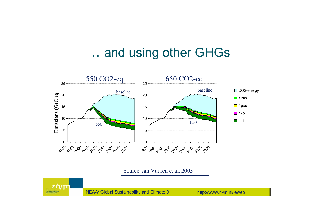## .. and using other GHGs



Source:van Vuuren et al, 2003



NEAA/ Global Sustainability and Climate 9 http://www.rivm.nl/ieweb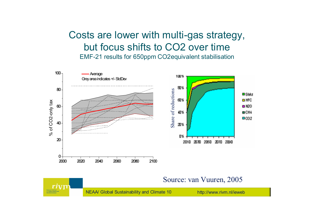#### Costs are lower with multi-gas strategy, but focus shifts to CO2 over timeEMF-21 results for 650ppm CO2equivalent stabilisation



#### Source: van Vuuren, 2005

NEAA/ Global Sustainability and Climate 10 http://www.rivm.nl/ieweb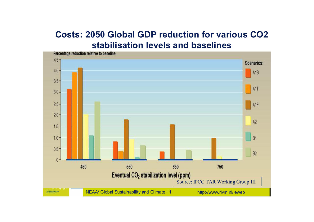#### **Costs: 2050 Global GDP reduction for various CO2 stabilisation levels and baselines**

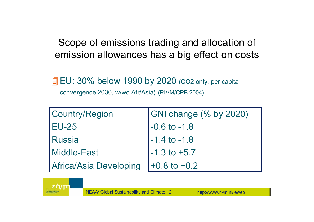Scope of emissions trading and allocation of emission allowances has a big effect on costs

**EU: 30% below 1990 by 2020 (CO2 only, per capita** convergence 2030, w/wo Afr/Asia) (RIVM/CPB 2004)

| Country/Region         | GNI change (% by 2020) |
|------------------------|------------------------|
| <b>EU-25</b>           | $-0.6$ to $-1.8$       |
| 'Russia                | l-1.4 to -1.8          |
| Middle-East            | $-1.3$ to $+5.7$       |
| Africa/Asia Developing | $+0.8$ to $+0.2$       |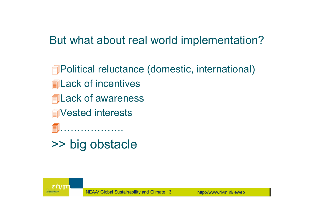### But what about real world implementation?

- Political reluctance (domestic, international)
- **<u></u> ack of incentives**
- **<u></u> allack of awareness**
- **AVested interests**

……………….

>> big obstacle

NEAA/ Global Sustainability and Climate 13 http://www.rivm.nl/ieweb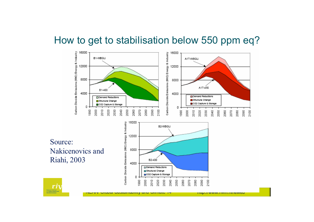#### How to get to stabilisation below 550 ppm eq?



Source: Nakicenovics and Riahi, 2003



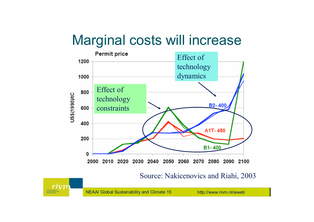## Marginal costs will increase



Source: Nakicenovics and Riahi, 2003

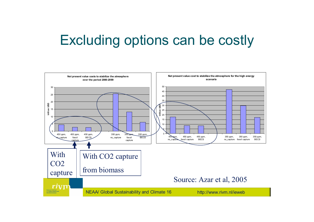## Excluding options can be costly

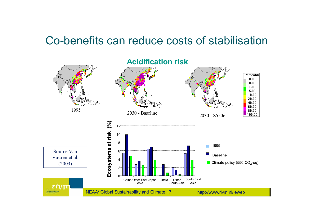### Co-benefits can reduce costs of stabilisation